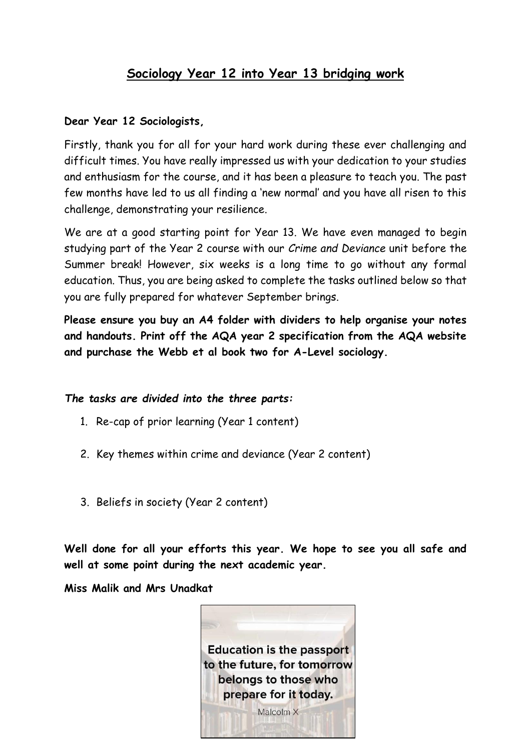# **Sociology Year 12 into Year 13 bridging work**

#### **Dear Year 12 Sociologists,**

Firstly, thank you for all for your hard work during these ever challenging and difficult times. You have really impressed us with your dedication to your studies and enthusiasm for the course, and it has been a pleasure to teach you. The past few months have led to us all finding a 'new normal' and you have all risen to this challenge, demonstrating your resilience.

We are at a good starting point for Year 13. We have even managed to begin studying part of the Year 2 course with our *Crime and Deviance* unit before the Summer break! However, six weeks is a long time to go without any formal education. Thus, you are being asked to complete the tasks outlined below so that you are fully prepared for whatever September brings.

**Please ensure you buy an A4 folder with dividers to help organise your notes and handouts. Print off the AQA year 2 specification from the AQA website and purchase the Webb et al book two for A-Level sociology.** 

#### *The tasks are divided into the three parts:*

- 1. Re-cap of prior learning (Year 1 content)
- 2. Key themes within crime and deviance (Year 2 content)
- 3. Beliefs in society (Year 2 content)

**Well done for all your efforts this year. We hope to see you all safe and well at some point during the next academic year.** 

**Miss Malik and Mrs Unadkat**

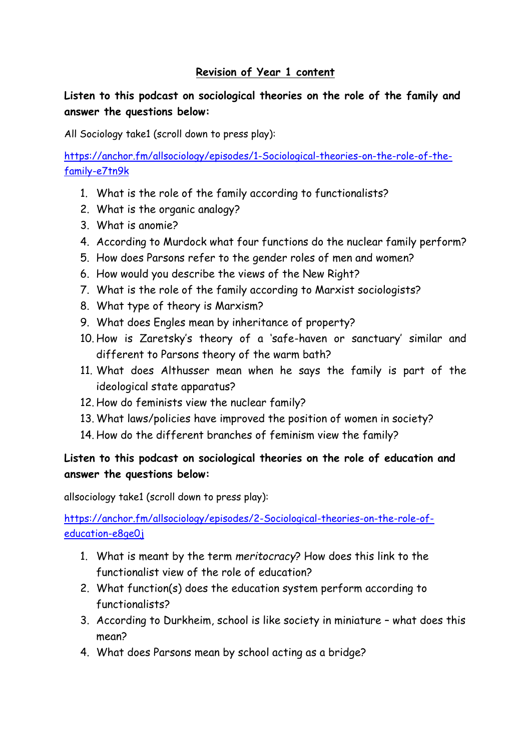## **Revision of Year 1 content**

# **Listen to this podcast on sociological theories on the role of the family and answer the questions below:**

All Sociology take1 (scroll down to press play):

[https://anchor.fm/allsociology/episodes/1-Sociological-theories-on-the-role-of-the](https://anchor.fm/allsociology/episodes/1-Sociological-theories-on-the-role-of-the-family-e7tn9k)[family-e7tn9k](https://anchor.fm/allsociology/episodes/1-Sociological-theories-on-the-role-of-the-family-e7tn9k)

- 1. What is the role of the family according to functionalists?
- 2. What is the organic analogy?
- 3. What is anomie?
- 4. According to Murdock what four functions do the nuclear family perform?
- 5. How does Parsons refer to the gender roles of men and women?
- 6. How would you describe the views of the New Right?
- 7. What is the role of the family according to Marxist sociologists?
- 8. What type of theory is Marxism?
- 9. What does Engles mean by inheritance of property?
- 10. How is Zaretsky's theory of a 'safe-haven or sanctuary' similar and different to Parsons theory of the warm bath?
- 11. What does Althusser mean when he says the family is part of the ideological state apparatus?
- 12. How do feminists view the nuclear family?
- 13. What laws/policies have improved the position of women in society?
- 14. How do the different branches of feminism view the family?

# **Listen to this podcast on sociological theories on the role of education and answer the questions below:**

allsociology take1 (scroll down to press play):

[https://anchor.fm/allsociology/episodes/2-Sociological-theories-on-the-role-of](https://anchor.fm/allsociology/episodes/2-Sociological-theories-on-the-role-of-education-e8ge0j)[education-e8ge0j](https://anchor.fm/allsociology/episodes/2-Sociological-theories-on-the-role-of-education-e8ge0j)

- 1. What is meant by the term *meritocracy*? How does this link to the functionalist view of the role of education?
- 2. What function(s) does the education system perform according to functionalists?
- 3. According to Durkheim, school is like society in miniature what does this mean?
- 4. What does Parsons mean by school acting as a bridge?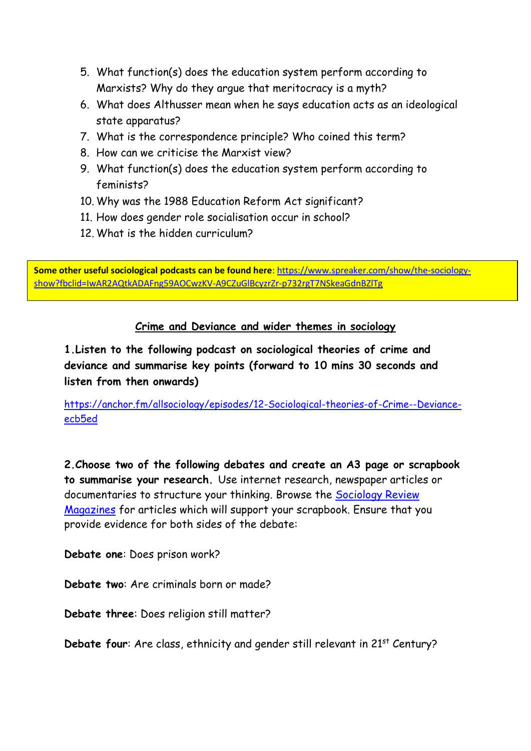- 5. What function(s) does the education system perform according to Marxists? Why do they argue that meritocracy is a myth?
- 6. What does Althusser mean when he says education acts as an ideological state apparatus?
- 7. What is the correspondence principle? Who coined this term?
- 8. How can we criticise the Marxist view?
- 9. What function(s) does the education system perform according to feminists?
- 10. Why was the 1988 Education Reform Act significant?
- 11. How does gender role socialisation occur in school?
- 12. What is the hidden curriculum?

**Some other useful sociological podcasts can be found here**[: https://www.spreaker.com/show/the-sociology](https://www.spreaker.com/show/the-sociology-show?fbclid=IwAR2AQtkADAFng59AOCwzKV-A9CZuGlBcyzrZr-p732rgT7NSkeaGdnBZlTg)[show?fbclid=IwAR2AQtkADAFng59AOCwzKV-A9CZuGlBcyzrZr-p732rgT7NSkeaGdnBZlTg](https://www.spreaker.com/show/the-sociology-show?fbclid=IwAR2AQtkADAFng59AOCwzKV-A9CZuGlBcyzrZr-p732rgT7NSkeaGdnBZlTg)

# **Crime and Deviance and wider themes in sociology**

**1.Listen to the following podcast on sociological theories of crime and deviance and summarise key points (forward to 10 mins 30 seconds and listen from then onwards)**

[https://anchor.fm/allsociology/episodes/12-Sociological-theories-of-Crime--Deviance](https://anchor.fm/allsociology/episodes/12-Sociological-theories-of-Crime--Deviance-ecb5ed)[ecb5ed](https://anchor.fm/allsociology/episodes/12-Sociological-theories-of-Crime--Deviance-ecb5ed)

**2.Choose two of the following debates and create an A3 page or scrapbook to summarise your research.** Use internet research, newspaper articles or documentaries to structure your thinking. Browse the [Sociology Review](http://my.dynamic-learning.co.uk/MyDynamicLearning.aspx)  [Magazines](http://my.dynamic-learning.co.uk/MyDynamicLearning.aspx) for articles which will support your scrapbook. Ensure that you provide evidence for both sides of the debate:

**Debate one**: Does prison work?

**Debate two**: Are criminals born or made?

**Debate three**: Does religion still matter?

**Debate four:** Are class, ethnicity and gender still relevant in 21<sup>st</sup> Century?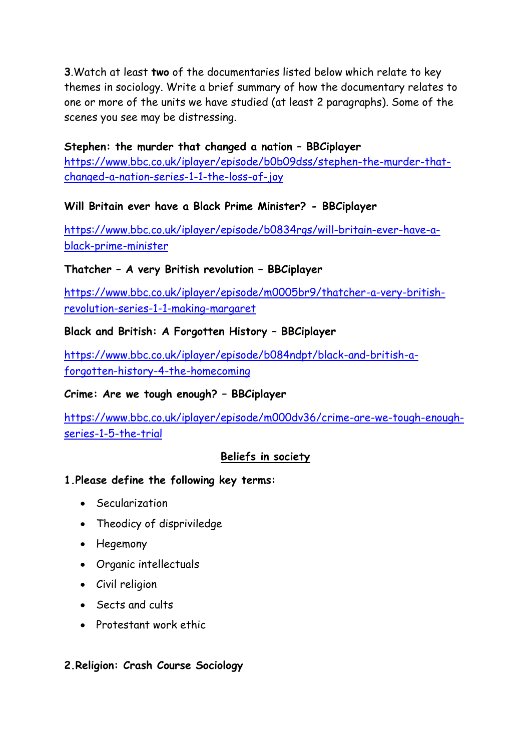**3**.Watch at least **two** of the documentaries listed below which relate to key themes in sociology. Write a brief summary of how the documentary relates to one or more of the units we have studied (at least 2 paragraphs). Some of the scenes you see may be distressing.

**Stephen: the murder that changed a nation – BBCiplayer** [https://www.bbc.co.uk/iplayer/episode/b0b09dss/stephen-the-murder-that](https://www.bbc.co.uk/iplayer/episode/b0b09dss/stephen-the-murder-that-changed-a-nation-series-1-1-the-loss-of-joy)[changed-a-nation-series-1-1-the-loss-of-joy](https://www.bbc.co.uk/iplayer/episode/b0b09dss/stephen-the-murder-that-changed-a-nation-series-1-1-the-loss-of-joy)

## **Will Britain ever have a Black Prime Minister? - BBCiplayer**

[https://www.bbc.co.uk/iplayer/episode/b0834rgs/will-britain-ever-have-a](https://www.bbc.co.uk/iplayer/episode/b0834rgs/will-britain-ever-have-a-black-prime-minister)[black-prime-minister](https://www.bbc.co.uk/iplayer/episode/b0834rgs/will-britain-ever-have-a-black-prime-minister)

#### **Thatcher – A very British revolution – BBCiplayer**

[https://www.bbc.co.uk/iplayer/episode/m0005br9/thatcher-a-very-british](https://www.bbc.co.uk/iplayer/episode/m0005br9/thatcher-a-very-british-revolution-series-1-1-making-margaret)[revolution-series-1-1-making-margaret](https://www.bbc.co.uk/iplayer/episode/m0005br9/thatcher-a-very-british-revolution-series-1-1-making-margaret)

#### **Black and British: A Forgotten History – BBCiplayer**

[https://www.bbc.co.uk/iplayer/episode/b084ndpt/black-and-british-a](https://www.bbc.co.uk/iplayer/episode/b084ndpt/black-and-british-a-forgotten-history-4-the-homecoming)[forgotten-history-4-the-homecoming](https://www.bbc.co.uk/iplayer/episode/b084ndpt/black-and-british-a-forgotten-history-4-the-homecoming)

#### **Crime: Are we tough enough? – BBCiplayer**

[https://www.bbc.co.uk/iplayer/episode/m000dv36/crime-are-we-tough-enough](https://www.bbc.co.uk/iplayer/episode/m000dv36/crime-are-we-tough-enough-series-1-5-the-trial)[series-1-5-the-trial](https://www.bbc.co.uk/iplayer/episode/m000dv36/crime-are-we-tough-enough-series-1-5-the-trial)

## **Beliefs in society**

#### **1.Please define the following key terms:**

- Secularization
- Theodicy of dispriviledge
- Hegemony
- Organic intellectuals
- Civil religion
- Sects and cults
- Protestant work ethic

#### **2.Religion: Crash Course Sociology**